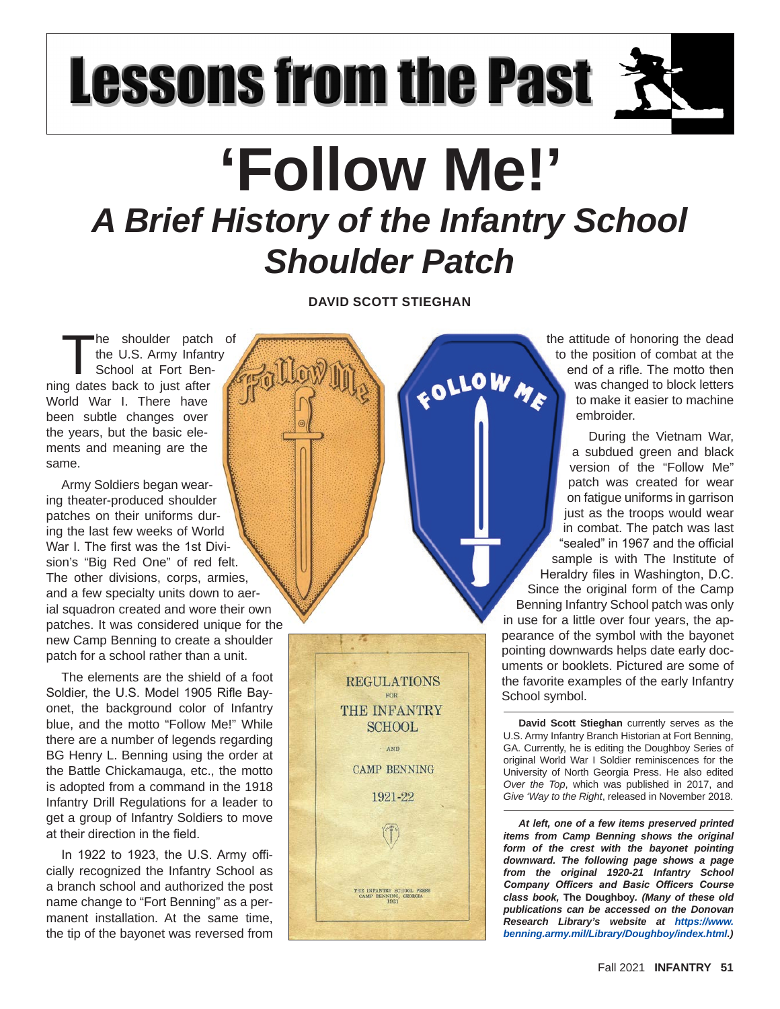## **Lessons from the Past**

## **'Follow Me!'**  *A Brief History of the Infantry School Shoulder Patch*

**DAVID SCOTT STIEGHAN**

FOLLOW ME

The shoulder patch of<br>the U.S. Army Infantry<br>School at Fort Ben-<br>or dates back to just after the U.S. Army Infantry School at Fort Benning dates back to just after World War I. There have been subtle changes over the years, but the basic elements and meaning are the same.

Army Soldiers began wearing theater-produced shoulder patches on their uniforms during the last few weeks of World War I. The first was the 1st Division's "Big Red One" of red felt. The other divisions, corps, armies, and a few specialty units down to aerial squadron created and wore their own patches. It was considered unique for the new Camp Benning to create a shoulder patch for a school rather than a unit.

The elements are the shield of a foot Soldier, the U.S. Model 1905 Rifle Bayonet, the background color of Infantry blue, and the motto "Follow Me!" While there are a number of legends regarding BG Henry L. Benning using the order at the Battle Chickamauga, etc., the motto is adopted from a command in the 1918 Infantry Drill Regulations for a leader to get a group of Infantry Soldiers to move at their direction in the field.

In 1922 to 1923, the U.S. Army officially recognized the Infantry School as a branch school and authorized the post name change to "Fort Benning" as a permanent installation. At the same time, the tip of the bayonet was reversed from



the attitude of honoring the dead to the position of combat at the end of a rifle. The motto then was changed to block letters to make it easier to machine embroider.

During the Vietnam War, a subdued green and black version of the "Follow Me" patch was created for wear on fatigue uniforms in garrison just as the troops would wear in combat. The patch was last "sealed" in 1967 and the official sample is with The Institute of Heraldry files in Washington, D.C. Since the original form of the Camp Benning Infantry School patch was only in use for a little over four years, the appearance of the symbol with the bayonet pointing downwards helps date early documents or booklets. Pictured are some of the favorite examples of the early Infantry School symbol.

**David Scott Stieghan** currently serves as the U.S. Army Infantry Branch Historian at Fort Benning, GA. Currently, he is editing the Doughboy Series of original World War I Soldier reminiscences for the University of North Georgia Press. He also edited *Over the Top*, which was published in 2017, and *Give 'Way to the Right*, released in November 2018.

*At left, one of a few items preserved printed items from Camp Benning shows the original form of the crest with the bayonet pointing downward. The following page shows a page from the original 1920-21 Infantry School Company Officers and Basic Officers Course class book,* **The Doughboy***. (Many of these old publications can be accessed on the Donovan Research Library's website at https://www. benning.army.mil/Library/Doughboy/index.html.)*